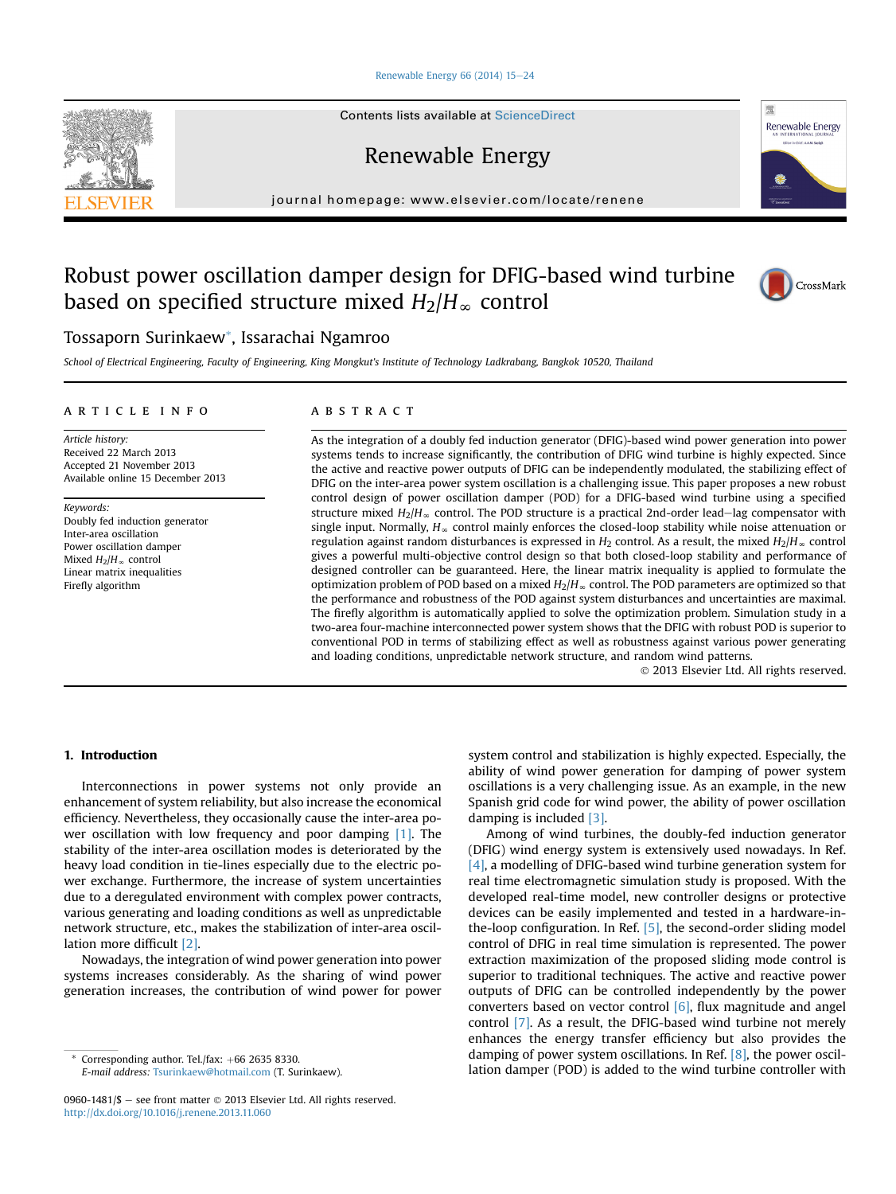#### Renewable Energy 66 (2014)  $15-24$  $15-24$

Contents lists available at ScienceDirect

Renewable Energy

journal homepage: [www.elsevier.com/locate/renene](http://www.elsevier.com/locate/renene)

# Robust power oscillation damper design for DFIG-based wind turbine based on specified structure mixed  $H_2/H_\infty$  control



School of Electrical Engineering, Faculty of Engineering, King Mongkut's Institute of Technology Ladkrabang, Bangkok 10520, Thailand

#### article info

Article history: Received 22 March 2013 Accepted 21 November 2013 Available online 15 December 2013

Keywords: Doubly fed induction generator Inter-area oscillation Power oscillation damper Mixed  $H_2/H$ <sub>∞</sub> control Linear matrix inequalities Firefly algorithm

## **ABSTRACT**

As the integration of a doubly fed induction generator (DFIG)-based wind power generation into power systems tends to increase significantly, the contribution of DFIG wind turbine is highly expected. Since the active and reactive power outputs of DFIG can be independently modulated, the stabilizing effect of DFIG on the inter-area power system oscillation is a challenging issue. This paper proposes a new robust control design of power oscillation damper (POD) for a DFIG-based wind turbine using a specified structure mixed  $H_2/H_\infty$  control. The POD structure is a practical 2nd-order lead-lag compensator with single input. Normally,  $H_{\infty}$  control mainly enforces the closed-loop stability while noise attenuation or regulation against random disturbances is expressed in  $H_2$  control. As a result, the mixed  $H_2/H_\infty$  control gives a powerful multi-objective control design so that both closed-loop stability and performance of designed controller can be guaranteed. Here, the linear matrix inequality is applied to formulate the optimization problem of POD based on a mixed  $H_2/H_\infty$  control. The POD parameters are optimized so that the performance and robustness of the POD against system disturbances and uncertainties are maximal. The firefly algorithm is automatically applied to solve the optimization problem. Simulation study in a two-area four-machine interconnected power system shows that the DFIG with robust POD is superior to conventional POD in terms of stabilizing effect as well as robustness against various power generating and loading conditions, unpredictable network structure, and random wind patterns.

2013 Elsevier Ltd. All rights reserved.

### 1. Introduction

Interconnections in power systems not only provide an enhancement of system reliability, but also increase the economical efficiency. Nevertheless, they occasionally cause the inter-area power oscillation with low frequency and poor damping [1]. The stability of the inter-area oscillation modes is deteriorated by the heavy load condition in tie-lines especially due to the electric power exchange. Furthermore, the increase of system uncertainties due to a deregulated environment with complex power contracts, various generating and loading conditions as well as unpredictable network structure, etc., makes the stabilization of inter-area oscillation more difficult [2].

Nowadays, the integration of wind power generation into power systems increases considerably. As the sharing of wind power generation increases, the contribution of wind power for power

Corresponding author. Tel./fax:  $+66$  2635 8330. E-mail address: [Tsurinkaew@hotmail.com](mailto:Tsurinkaew@hotmail.com) (T. Surinkaew).

0960-1481/\$ - see front matter  $\odot$  2013 Elsevier Ltd. All rights reserved. <http://dx.doi.org/10.1016/j.renene.2013.11.060>

system control and stabilization is highly expected. Especially, the ability of wind power generation for damping of power system oscillations is a very challenging issue. As an example, in the new Spanish grid code for wind power, the ability of power oscillation damping is included [3].

Among of wind turbines, the doubly-fed induction generator (DFIG) wind energy system is extensively used nowadays. In Ref. [4], a modelling of DFIG-based wind turbine generation system for real time electromagnetic simulation study is proposed. With the developed real-time model, new controller designs or protective devices can be easily implemented and tested in a hardware-inthe-loop configuration. In Ref. [5], the second-order sliding model control of DFIG in real time simulation is represented. The power extraction maximization of the proposed sliding mode control is superior to traditional techniques. The active and reactive power outputs of DFIG can be controlled independently by the power converters based on vector control [6], flux magnitude and angel control [7]. As a result, the DFIG-based wind turbine not merely enhances the energy transfer efficiency but also provides the damping of power system oscillations. In Ref. [8], the power oscillation damper (POD) is added to the wind turbine controller with





Renewable Energy

環

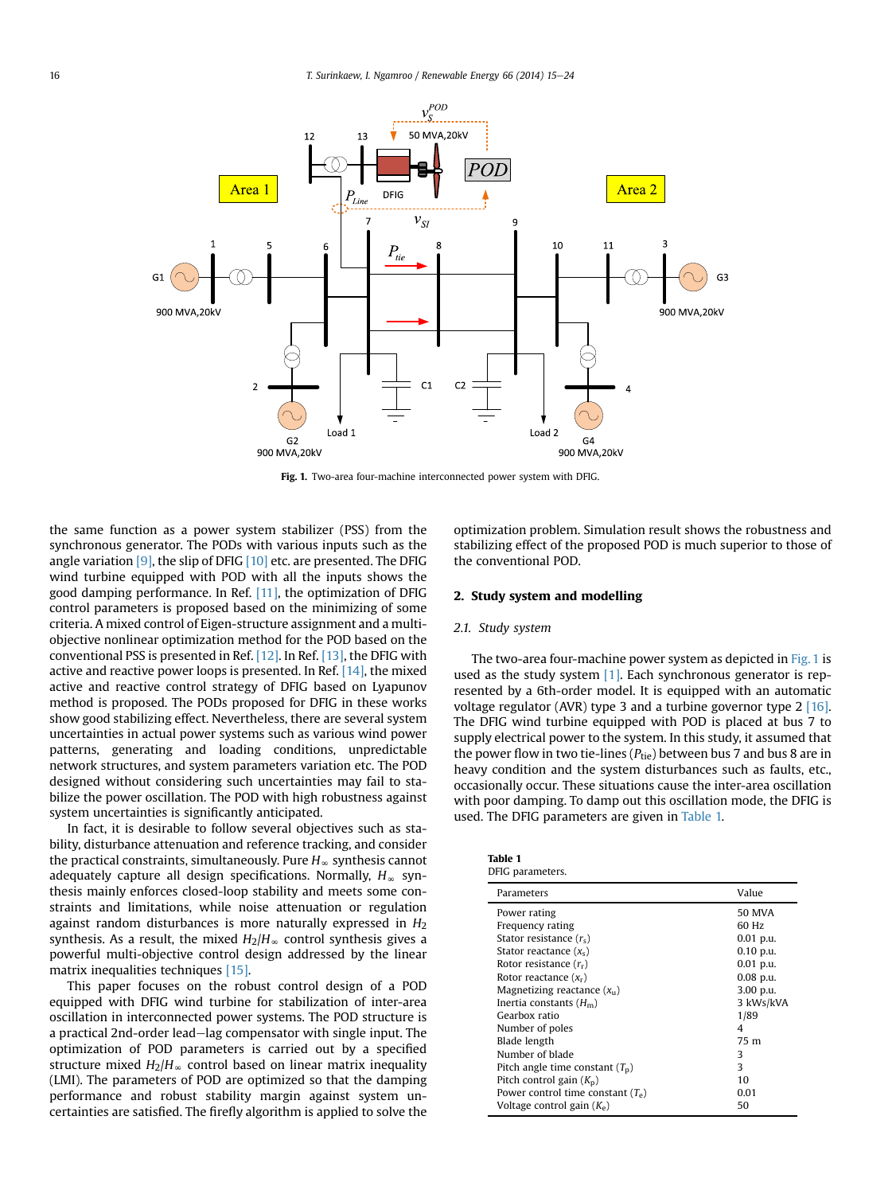

Fig. 1. Two-area four-machine interconnected power system with DFIG.

the same function as a power system stabilizer (PSS) from the synchronous generator. The PODs with various inputs such as the angle variation  $[9]$ , the slip of DFIG  $[10]$  etc. are presented. The DFIG wind turbine equipped with POD with all the inputs shows the good damping performance. In Ref. [11], the optimization of DFIG control parameters is proposed based on the minimizing of some criteria. A mixed control of Eigen-structure assignment and a multiobjective nonlinear optimization method for the POD based on the conventional PSS is presented in Ref. [12]. In Ref. [13], the DFIG with active and reactive power loops is presented. In Ref. [14], the mixed active and reactive control strategy of DFIG based on Lyapunov method is proposed. The PODs proposed for DFIG in these works show good stabilizing effect. Nevertheless, there are several system uncertainties in actual power systems such as various wind power patterns, generating and loading conditions, unpredictable network structures, and system parameters variation etc. The POD designed without considering such uncertainties may fail to stabilize the power oscillation. The POD with high robustness against system uncertainties is significantly anticipated.

In fact, it is desirable to follow several objectives such as stability, disturbance attenuation and reference tracking, and consider the practical constraints, simultaneously. Pure  $H_{\infty}$  synthesis cannot adequately capture all design specifications. Normally,  $H_{\infty}$  synthesis mainly enforces closed-loop stability and meets some constraints and limitations, while noise attenuation or regulation against random disturbances is more naturally expressed in  $H_2$ synthesis. As a result, the mixed  $H_2/H_\infty$  control synthesis gives a powerful multi-objective control design addressed by the linear matrix inequalities techniques [15].

This paper focuses on the robust control design of a POD equipped with DFIG wind turbine for stabilization of inter-area oscillation in interconnected power systems. The POD structure is a practical 2nd-order lead-lag compensator with single input. The optimization of POD parameters is carried out by a specified structure mixed  $H_2/H_\infty$  control based on linear matrix inequality (LMI). The parameters of POD are optimized so that the damping performance and robust stability margin against system uncertainties are satisfied. The firefly algorithm is applied to solve the optimization problem. Simulation result shows the robustness and stabilizing effect of the proposed POD is much superior to those of the conventional POD.

#### 2. Study system and modelling

#### 2.1. Study system

The two-area four-machine power system as depicted in Fig. 1 is used as the study system [1]. Each synchronous generator is represented by a 6th-order model. It is equipped with an automatic voltage regulator (AVR) type 3 and a turbine governor type 2 [16]. The DFIG wind turbine equipped with POD is placed at bus 7 to supply electrical power to the system. In this study, it assumed that the power flow in two tie-lines ( $P_{\text{tie}}$ ) between bus 7 and bus 8 are in heavy condition and the system disturbances such as faults, etc., occasionally occur. These situations cause the inter-area oscillation with poor damping. To damp out this oscillation mode, the DFIG is used. The DFIG parameters are given in Table 1.

| Table 1 |                 |
|---------|-----------------|
|         | DFIG parameters |

| Parameters                          | Value       |
|-------------------------------------|-------------|
| Power rating                        | 50 MVA      |
| Frequency rating                    | 60 Hz       |
| Stator resistance $(r_s)$           | 0.01 p.u.   |
| Stator reactance $(x_{s})$          | 0.10 p.u.   |
| Rotor resistance $(r_r)$            | $0.01$ p.u. |
| Rotor reactance $(x_r)$             | $0.08$ p.u. |
| Magnetizing reactance $(x_{ii})$    | 3.00 p.u.   |
| Inertia constants $(Hm)$            | 3 kWs/kVA   |
| Gearbox ratio                       | 1/89        |
| Number of poles                     | 4           |
| Blade length                        | 75 m        |
| Number of blade                     | 3           |
| Pitch angle time constant $(T_n)$   | 3           |
| Pitch control gain $(K_n)$          | 10          |
| Power control time constant $(T_e)$ | 0.01        |
| Voltage control gain $(K_e)$        | 50          |